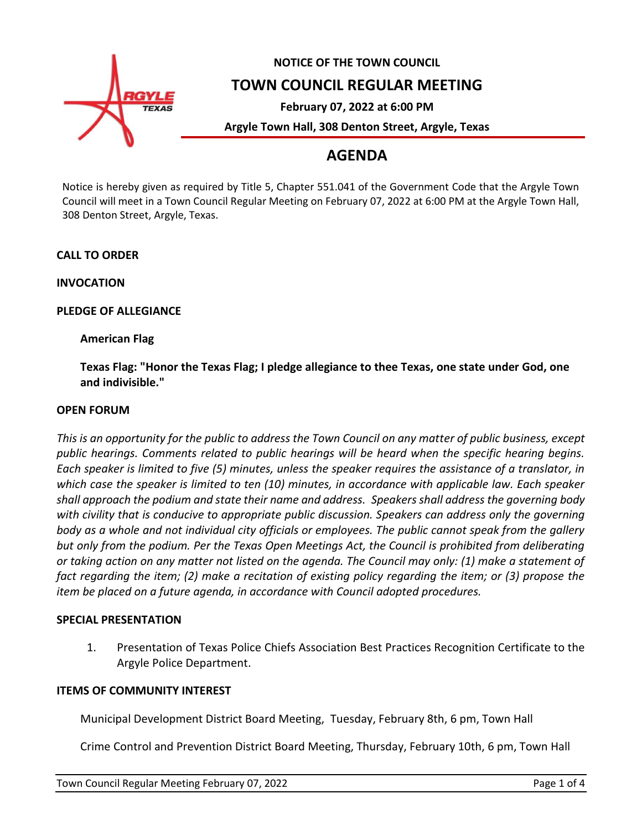

# **NOTICE OF THE TOWN COUNCIL**

## **TOWN COUNCIL REGULAR MEETING**

**February 07, 2022 at 6:00 PM**

**Argyle Town Hall, 308 Denton Street, Argyle, Texas**

## **AGENDA**

Notice is hereby given as required by Title 5, Chapter 551.041 of the Government Code that the Argyle Town Council will meet in a Town Council Regular Meeting on February 07, 2022 at 6:00 PM at the Argyle Town Hall, 308 Denton Street, Argyle, Texas.

**CALL TO ORDER**

**INVOCATION**

**PLEDGE OF ALLEGIANCE**

**American Flag**

**Texas Flag: "Honor the Texas Flag; I pledge allegiance to thee Texas, one state under God, one and indivisible."**

#### **OPEN FORUM**

*This is an opportunity for the public to address the Town Council on any matter of public business, except public hearings. Comments related to public hearings will be heard when the specific hearing begins. Each speaker is limited to five (5) minutes, unless the speaker requires the assistance of a translator, in which case the speaker is limited to ten (10) minutes, in accordance with applicable law. Each speaker shall approach the podium and state their name and address. Speakers shall address the governing body with civility that is conducive to appropriate public discussion. Speakers can address only the governing body as a whole and not individual city officials or employees. The public cannot speak from the gallery but only from the podium. Per the Texas Open Meetings Act, the Council is prohibited from deliberating or taking action on any matter not listed on the agenda. The Council may only: (1) make a statement of fact regarding the item; (2) make a recitation of existing policy regarding the item; or (3) propose the item be placed on a future agenda, in accordance with Council adopted procedures.*

#### **SPECIAL PRESENTATION**

1. Presentation of Texas Police Chiefs Association Best Practices Recognition Certificate to the Argyle Police Department.

#### **ITEMS OF COMMUNITY INTEREST**

Municipal Development District Board Meeting, Tuesday, February 8th, 6 pm, Town Hall

Crime Control and Prevention District Board Meeting, Thursday, February 10th, 6 pm, Town Hall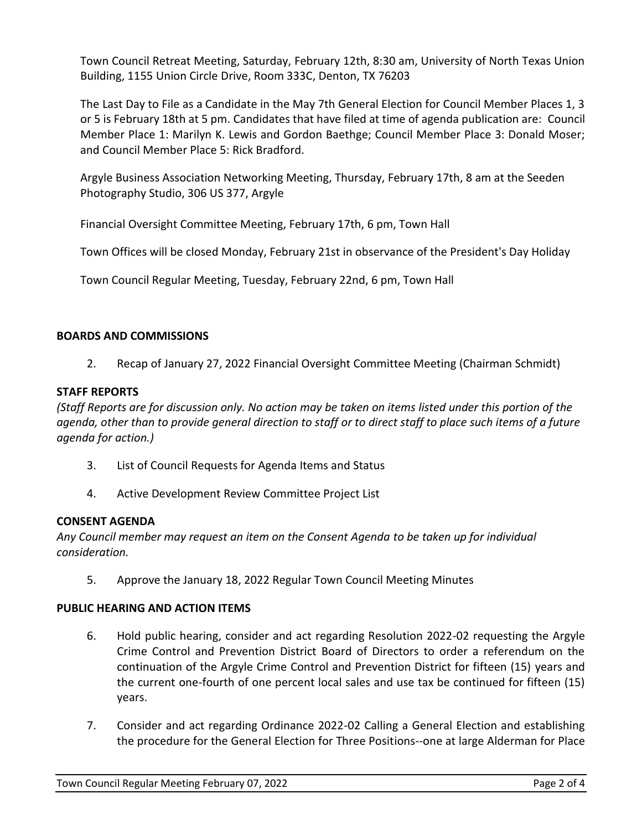Town Council Retreat Meeting, Saturday, February 12th, 8:30 am, University of North Texas Union Building, 1155 Union Circle Drive, Room 333C, Denton, TX 76203

The Last Day to File as a Candidate in the May 7th General Election for Council Member Places 1, 3 or 5 is February 18th at 5 pm. Candidates that have filed at time of agenda publication are: Council Member Place 1: Marilyn K. Lewis and Gordon Baethge; Council Member Place 3: Donald Moser; and Council Member Place 5: Rick Bradford.

Argyle Business Association Networking Meeting, Thursday, February 17th, 8 am at the Seeden Photography Studio, 306 US 377, Argyle

Financial Oversight Committee Meeting, February 17th, 6 pm, Town Hall

Town Offices will be closed Monday, February 21st in observance of the President's Day Holiday

Town Council Regular Meeting, Tuesday, February 22nd, 6 pm, Town Hall

#### **BOARDS AND COMMISSIONS**

2. Recap of January 27, 2022 Financial Oversight Committee Meeting (Chairman Schmidt)

#### **STAFF REPORTS**

*(Staff Reports are for discussion only. No action may be taken on items listed under this portion of the agenda, other than to provide general direction to staff or to direct staff to place such items of a future agenda for action.)*

- 3. List of Council Requests for Agenda Items and Status
- 4. Active Development Review Committee Project List

#### **CONSENT AGENDA**

*Any Council member may request an item on the Consent Agenda to be taken up for individual consideration.*

5. Approve the January 18, 2022 Regular Town Council Meeting Minutes

#### **PUBLIC HEARING AND ACTION ITEMS**

- 6. Hold public hearing, consider and act regarding Resolution 2022-02 requesting the Argyle Crime Control and Prevention District Board of Directors to order a referendum on the continuation of the Argyle Crime Control and Prevention District for fifteen (15) years and the current one-fourth of one percent local sales and use tax be continued for fifteen (15) years.
- 7. Consider and act regarding Ordinance 2022-02 Calling a General Election and establishing the procedure for the General Election for Three Positions--one at large Alderman for Place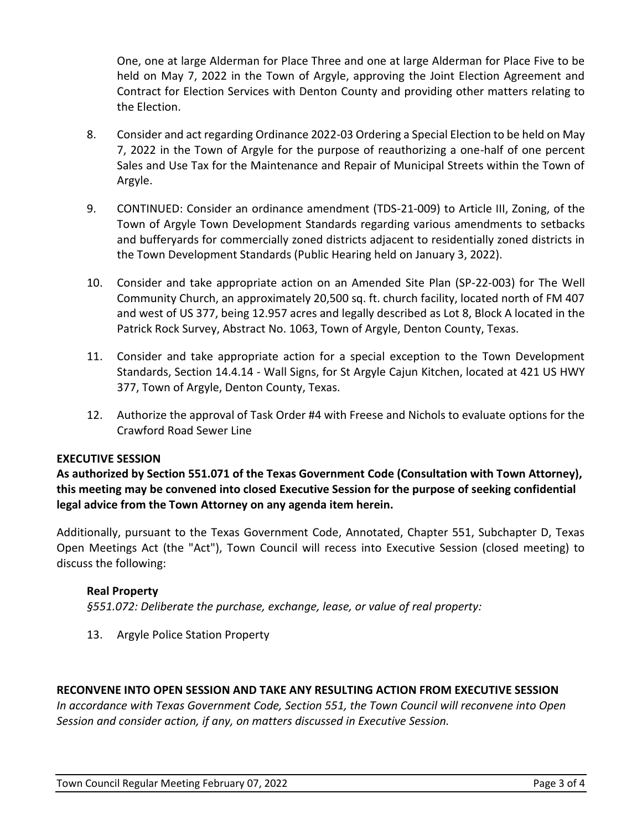One, one at large Alderman for Place Three and one at large Alderman for Place Five to be held on May 7, 2022 in the Town of Argyle, approving the Joint Election Agreement and Contract for Election Services with Denton County and providing other matters relating to the Election.

- 8. Consider and act regarding Ordinance 2022-03 Ordering a Special Election to be held on May 7, 2022 in the Town of Argyle for the purpose of reauthorizing a one-half of one percent Sales and Use Tax for the Maintenance and Repair of Municipal Streets within the Town of Argyle.
- 9. CONTINUED: Consider an ordinance amendment (TDS-21-009) to Article III, Zoning, of the Town of Argyle Town Development Standards regarding various amendments to setbacks and bufferyards for commercially zoned districts adjacent to residentially zoned districts in the Town Development Standards (Public Hearing held on January 3, 2022).
- 10. Consider and take appropriate action on an Amended Site Plan (SP-22-003) for The Well Community Church, an approximately 20,500 sq. ft. church facility, located north of FM 407 and west of US 377, being 12.957 acres and legally described as Lot 8, Block A located in the Patrick Rock Survey, Abstract No. 1063, Town of Argyle, Denton County, Texas.
- 11. Consider and take appropriate action for a special exception to the Town Development Standards, Section 14.4.14 - Wall Signs, for St Argyle Cajun Kitchen, located at 421 US HWY 377, Town of Argyle, Denton County, Texas.
- 12. Authorize the approval of Task Order #4 with Freese and Nichols to evaluate options for the Crawford Road Sewer Line

### **EXECUTIVE SESSION**

**As authorized by Section 551.071 of the Texas Government Code (Consultation with Town Attorney), this meeting may be convened into closed Executive Session for the purpose of seeking confidential legal advice from the Town Attorney on any agenda item herein.**

Additionally, pursuant to the Texas Government Code, Annotated, Chapter 551, Subchapter D, Texas Open Meetings Act (the "Act"), Town Council will recess into Executive Session (closed meeting) to discuss the following:

#### **Real Property**

*§551.072: Deliberate the purchase, exchange, lease, or value of real property:*

13. Argyle Police Station Property

#### **RECONVENE INTO OPEN SESSION AND TAKE ANY RESULTING ACTION FROM EXECUTIVE SESSION**

*In accordance with Texas Government Code, Section 551, the Town Council will reconvene into Open Session and consider action, if any, on matters discussed in Executive Session.*